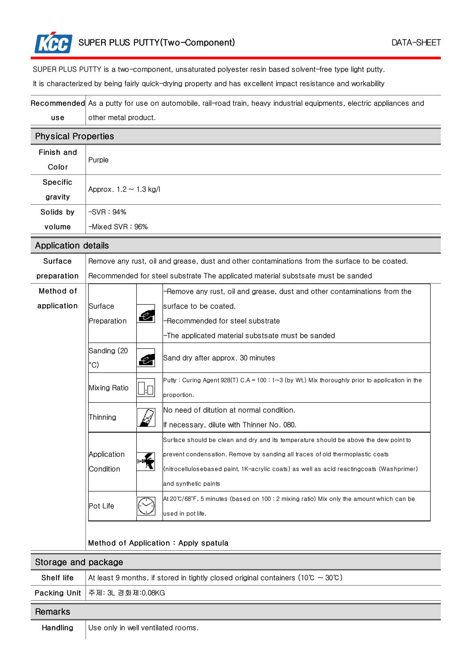SUPER PLUS PUTTY is a two-component, unsaturated polyester resin based solvent-free type light putty.

It is characterized by being fairly quick-drying property and has excellent impact resistance and workability

|                            | Recommended As a putty for use on automobile, rail-road train, heavy industrial equipments, electric appliances and |  |  |  |
|----------------------------|---------------------------------------------------------------------------------------------------------------------|--|--|--|
| use                        | other metal product.                                                                                                |  |  |  |
| <b>Physical Properties</b> |                                                                                                                     |  |  |  |
| Finish and                 | Purple                                                                                                              |  |  |  |
| Color                      |                                                                                                                     |  |  |  |
| <b>Specific</b>            | Approx. $1.2 \sim 1.3$ kg/l                                                                                         |  |  |  |
| gravity                    |                                                                                                                     |  |  |  |
| Solids by                  | $-SVR:94%$                                                                                                          |  |  |  |
| volume                     | $-Mixed$ SVR $: 96\%$                                                                                               |  |  |  |
| Annlication detaile        |                                                                                                                     |  |  |  |

|             | ADDIICATION UUTAIIS                                                                           |      |                                                                                                                                                                                                                                                                                           |  |  |  |
|-------------|-----------------------------------------------------------------------------------------------|------|-------------------------------------------------------------------------------------------------------------------------------------------------------------------------------------------------------------------------------------------------------------------------------------------|--|--|--|
| Surface     | Remove any rust, oil and grease, dust and other contaminations from the surface to be coated. |      |                                                                                                                                                                                                                                                                                           |  |  |  |
| preparation | Recommended for steel substrate The applicated material substsate must be sanded              |      |                                                                                                                                                                                                                                                                                           |  |  |  |
| Method of   |                                                                                               |      | -Remove any rust, oil and grease, dust and other contaminations from the                                                                                                                                                                                                                  |  |  |  |
| application | Surface                                                                                       |      | surface to be coated.                                                                                                                                                                                                                                                                     |  |  |  |
|             | Preparation                                                                                   | Q,   | -Recommended for steel substrate                                                                                                                                                                                                                                                          |  |  |  |
|             |                                                                                               |      | -The applicated material substsate must be sanded                                                                                                                                                                                                                                         |  |  |  |
|             | Sanding (20<br>°C)                                                                            |      | Sand dry after approx. 30 minutes                                                                                                                                                                                                                                                         |  |  |  |
|             | Mixing Ratio                                                                                  |      | Putty: Curing Agent 928(T) C.A = 100: 1~3 (by Wt.) Mix thoroughly prior to application in the<br>proportion.                                                                                                                                                                              |  |  |  |
|             | Thinning                                                                                      |      | No need of ditution at normal condition.<br>If necessary, dilute with Thinner No. 080.                                                                                                                                                                                                    |  |  |  |
|             | Application<br>Condition                                                                      | ⊱n¥≦ | Surface should be clean and dry and its temperature should be above the dew point to<br>prevent condensation. Remove by sanding all traces of old thermoplastic coats<br>(nitrocellulosebased paint, 1K-acrylic coats) as well as acid reactingcoats (Washprimer)<br>and synthetic paints |  |  |  |
|             | Pot Life                                                                                      |      | At 20°C/68°F, 5 minutes (based on 100 : 2 mixing ratio) Mix only the amount which can be<br>used in pot life.                                                                                                                                                                             |  |  |  |

## Method of Application : Apply spatula

| Storage and package |                                                                                       |  |  |
|---------------------|---------------------------------------------------------------------------------------|--|--|
| <b>Shelf life</b>   | At least 9 months, if stored in tightly closed original containers (10°C $\sim$ 30°C) |  |  |
|                     | <b>Packing Unit</b>   주제: 3L 경화제:0.08KG                                               |  |  |
| Remarks             |                                                                                       |  |  |

Handling Use only in well ventilated rooms.